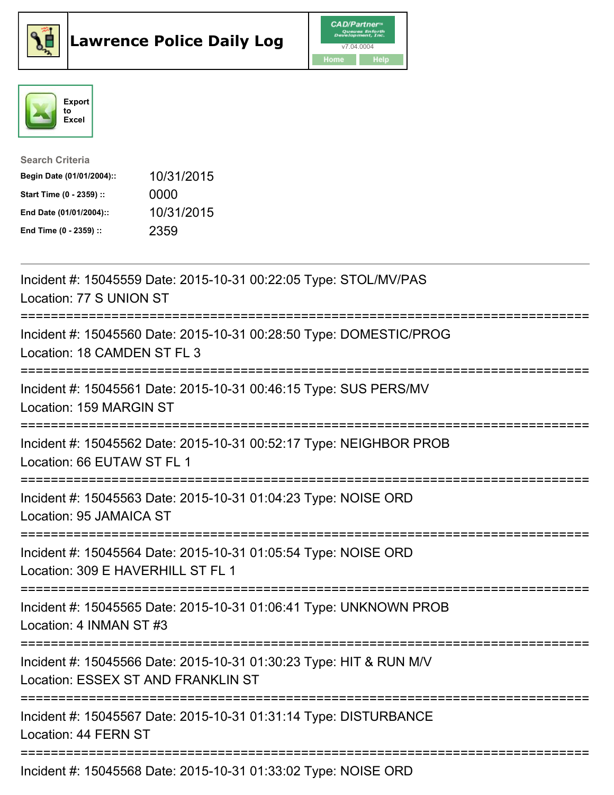





| <b>Search Criteria</b>    |            |
|---------------------------|------------|
| Begin Date (01/01/2004):: | 10/31/2015 |
| Start Time (0 - 2359) ::  | 0000       |
| End Date (01/01/2004)::   | 10/31/2015 |
| End Time (0 - 2359) ::    | 2359       |

| Incident #: 15045559 Date: 2015-10-31 00:22:05 Type: STOL/MV/PAS<br>Location: 77 S UNION ST                                                                     |
|-----------------------------------------------------------------------------------------------------------------------------------------------------------------|
| Incident #: 15045560 Date: 2015-10-31 00:28:50 Type: DOMESTIC/PROG<br>Location: 18 CAMDEN ST FL 3                                                               |
| Incident #: 15045561 Date: 2015-10-31 00:46:15 Type: SUS PERS/MV<br>Location: 159 MARGIN ST<br>----------------------------------<br>-------------------------- |
| Incident #: 15045562 Date: 2015-10-31 00:52:17 Type: NEIGHBOR PROB<br>Location: 66 EUTAW ST FL 1                                                                |
| Incident #: 15045563 Date: 2015-10-31 01:04:23 Type: NOISE ORD<br>Location: 95 JAMAICA ST                                                                       |
| Incident #: 15045564 Date: 2015-10-31 01:05:54 Type: NOISE ORD<br>Location: 309 E HAVERHILL ST FL 1                                                             |
| Incident #: 15045565 Date: 2015-10-31 01:06:41 Type: UNKNOWN PROB<br>Location: 4 INMAN ST #3                                                                    |
| Incident #: 15045566 Date: 2015-10-31 01:30:23 Type: HIT & RUN M/V<br>Location: ESSEX ST AND FRANKLIN ST                                                        |
| Incident #: 15045567 Date: 2015-10-31 01:31:14 Type: DISTURBANCE<br>Location: 44 FERN ST                                                                        |
| Incident #: 15045568 Date: 2015-10-31 01:33:02 Type: NOISE ORD                                                                                                  |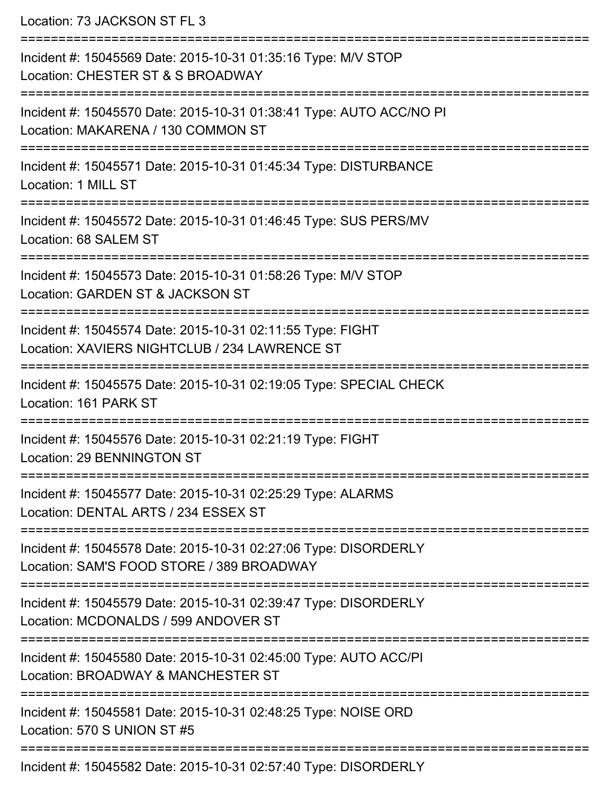Location: 73 JACKSON ST FL 3

| Incident #: 15045569 Date: 2015-10-31 01:35:16 Type: M/V STOP<br>Location: CHESTER ST & S BROADWAY           |
|--------------------------------------------------------------------------------------------------------------|
| Incident #: 15045570 Date: 2015-10-31 01:38:41 Type: AUTO ACC/NO PI<br>Location: MAKARENA / 130 COMMON ST    |
| Incident #: 15045571 Date: 2015-10-31 01:45:34 Type: DISTURBANCE<br>Location: 1 MILL ST                      |
| Incident #: 15045572 Date: 2015-10-31 01:46:45 Type: SUS PERS/MV<br>Location: 68 SALEM ST                    |
| Incident #: 15045573 Date: 2015-10-31 01:58:26 Type: M/V STOP<br>Location: GARDEN ST & JACKSON ST            |
| Incident #: 15045574 Date: 2015-10-31 02:11:55 Type: FIGHT<br>Location: XAVIERS NIGHTCLUB / 234 LAWRENCE ST  |
| Incident #: 15045575 Date: 2015-10-31 02:19:05 Type: SPECIAL CHECK<br>Location: 161 PARK ST                  |
| Incident #: 15045576 Date: 2015-10-31 02:21:19 Type: FIGHT<br>Location: 29 BENNINGTON ST                     |
| Incident #: 15045577 Date: 2015-10-31 02:25:29 Type: ALARMS<br>Location: DENTAL ARTS / 234 ESSEX ST          |
| Incident #: 15045578 Date: 2015-10-31 02:27:06 Type: DISORDERLY<br>Location: SAM'S FOOD STORE / 389 BROADWAY |
| Incident #: 15045579 Date: 2015-10-31 02:39:47 Type: DISORDERLY<br>Location: MCDONALDS / 599 ANDOVER ST      |
| Incident #: 15045580 Date: 2015-10-31 02:45:00 Type: AUTO ACC/PI<br>Location: BROADWAY & MANCHESTER ST       |
| Incident #: 15045581 Date: 2015-10-31 02:48:25 Type: NOISE ORD<br>Location: 570 S UNION ST #5                |
| Incident #: 15045582 Date: 2015-10-31 02:57:40 Type: DISORDERLY                                              |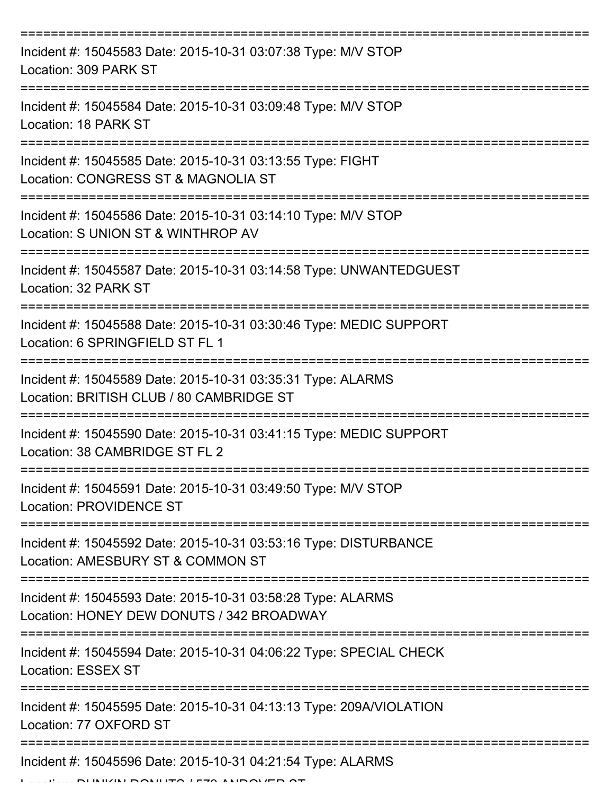| Incident #: 15045583 Date: 2015-10-31 03:07:38 Type: M/V STOP<br>Location: 309 PARK ST                   |
|----------------------------------------------------------------------------------------------------------|
| Incident #: 15045584 Date: 2015-10-31 03:09:48 Type: M/V STOP<br>Location: 18 PARK ST                    |
| Incident #: 15045585 Date: 2015-10-31 03:13:55 Type: FIGHT<br>Location: CONGRESS ST & MAGNOLIA ST        |
| Incident #: 15045586 Date: 2015-10-31 03:14:10 Type: M/V STOP<br>Location: S UNION ST & WINTHROP AV      |
| Incident #: 15045587 Date: 2015-10-31 03:14:58 Type: UNWANTEDGUEST<br>Location: 32 PARK ST               |
| Incident #: 15045588 Date: 2015-10-31 03:30:46 Type: MEDIC SUPPORT<br>Location: 6 SPRINGFIELD ST FL 1    |
| Incident #: 15045589 Date: 2015-10-31 03:35:31 Type: ALARMS<br>Location: BRITISH CLUB / 80 CAMBRIDGE ST  |
| Incident #: 15045590 Date: 2015-10-31 03:41:15 Type: MEDIC SUPPORT<br>Location: 38 CAMBRIDGE ST FL 2     |
| Incident #: 15045591 Date: 2015-10-31 03:49:50 Type: M/V STOP<br><b>Location: PROVIDENCE ST</b>          |
| Incident #: 15045592 Date: 2015-10-31 03:53:16 Type: DISTURBANCE<br>Location: AMESBURY ST & COMMON ST    |
| Incident #: 15045593 Date: 2015-10-31 03:58:28 Type: ALARMS<br>Location: HONEY DEW DONUTS / 342 BROADWAY |
| Incident #: 15045594 Date: 2015-10-31 04:06:22 Type: SPECIAL CHECK<br><b>Location: ESSEX ST</b>          |
| Incident #: 15045595 Date: 2015-10-31 04:13:13 Type: 209A/VIOLATION<br>Location: 77 OXFORD ST            |
| Incident #: 15045596 Date: 2015-10-31 04:21:54 Type: ALARMS                                              |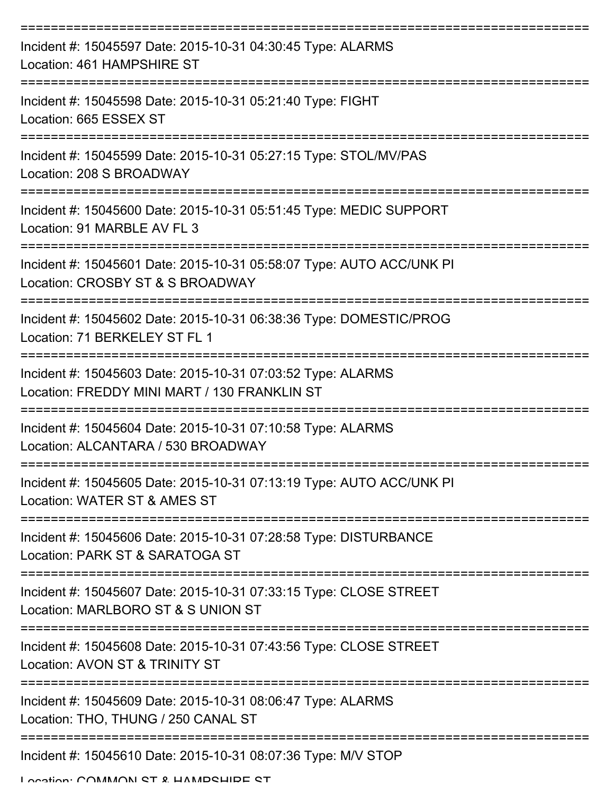| Incident #: 15045597 Date: 2015-10-31 04:30:45 Type: ALARMS<br>Location: 461 HAMPSHIRE ST                                                                  |
|------------------------------------------------------------------------------------------------------------------------------------------------------------|
| Incident #: 15045598 Date: 2015-10-31 05:21:40 Type: FIGHT<br>Location: 665 ESSEX ST                                                                       |
| ---------------<br>Incident #: 15045599 Date: 2015-10-31 05:27:15 Type: STOL/MV/PAS<br>Location: 208 S BROADWAY                                            |
| Incident #: 15045600 Date: 2015-10-31 05:51:45 Type: MEDIC SUPPORT<br>Location: 91 MARBLE AV FL 3                                                          |
| Incident #: 15045601 Date: 2015-10-31 05:58:07 Type: AUTO ACC/UNK PI<br>Location: CROSBY ST & S BROADWAY                                                   |
| Incident #: 15045602 Date: 2015-10-31 06:38:36 Type: DOMESTIC/PROG<br>Location: 71 BERKELEY ST FL 1                                                        |
| Incident #: 15045603 Date: 2015-10-31 07:03:52 Type: ALARMS<br>Location: FREDDY MINI MART / 130 FRANKLIN ST                                                |
| Incident #: 15045604 Date: 2015-10-31 07:10:58 Type: ALARMS<br>Location: ALCANTARA / 530 BROADWAY                                                          |
| Incident #: 15045605 Date: 2015-10-31 07:13:19 Type: AUTO ACC/UNK PI<br>Location: WATER ST & AMES ST                                                       |
| Incident #: 15045606 Date: 2015-10-31 07:28:58 Type: DISTURBANCE<br>Location: PARK ST & SARATOGA ST                                                        |
| Incident #: 15045607 Date: 2015-10-31 07:33:15 Type: CLOSE STREET<br>Location: MARLBORO ST & S UNION ST                                                    |
| ==========================<br>---------------------<br>Incident #: 15045608 Date: 2015-10-31 07:43:56 Type: CLOSE STREET<br>Location: AVON ST & TRINITY ST |
| Incident #: 15045609 Date: 2015-10-31 08:06:47 Type: ALARMS<br>Location: THO, THUNG / 250 CANAL ST                                                         |
| Incident #: 15045610 Date: 2015-10-31 08:07:36 Type: M/V STOP                                                                                              |

Location: COMMANN ST & HAMPSHIPE ST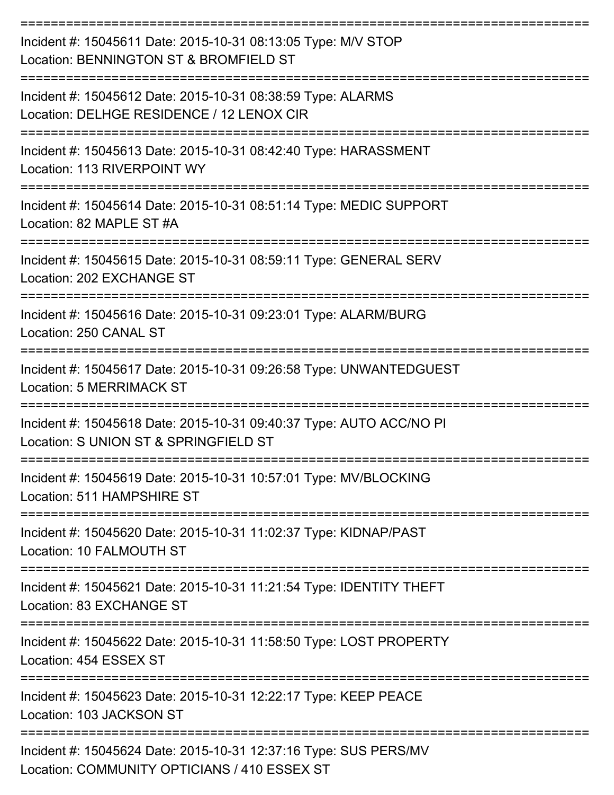| Incident #: 15045611 Date: 2015-10-31 08:13:05 Type: M/V STOP<br>Location: BENNINGTON ST & BROMFIELD ST          |
|------------------------------------------------------------------------------------------------------------------|
| Incident #: 15045612 Date: 2015-10-31 08:38:59 Type: ALARMS<br>Location: DELHGE RESIDENCE / 12 LENOX CIR         |
| Incident #: 15045613 Date: 2015-10-31 08:42:40 Type: HARASSMENT<br>Location: 113 RIVERPOINT WY                   |
| Incident #: 15045614 Date: 2015-10-31 08:51:14 Type: MEDIC SUPPORT<br>Location: 82 MAPLE ST #A                   |
| Incident #: 15045615 Date: 2015-10-31 08:59:11 Type: GENERAL SERV<br>Location: 202 EXCHANGE ST                   |
| Incident #: 15045616 Date: 2015-10-31 09:23:01 Type: ALARM/BURG<br>Location: 250 CANAL ST                        |
| Incident #: 15045617 Date: 2015-10-31 09:26:58 Type: UNWANTEDGUEST<br><b>Location: 5 MERRIMACK ST</b>            |
| Incident #: 15045618 Date: 2015-10-31 09:40:37 Type: AUTO ACC/NO PI<br>Location: S UNION ST & SPRINGFIELD ST     |
| Incident #: 15045619 Date: 2015-10-31 10:57:01 Type: MV/BLOCKING<br>Location: 511 HAMPSHIRE ST                   |
| Incident #: 15045620 Date: 2015-10-31 11:02:37 Type: KIDNAP/PAST<br>Location: 10 FALMOUTH ST                     |
| Incident #: 15045621 Date: 2015-10-31 11:21:54 Type: IDENTITY THEFT<br>Location: 83 EXCHANGE ST                  |
| Incident #: 15045622 Date: 2015-10-31 11:58:50 Type: LOST PROPERTY<br>Location: 454 ESSEX ST                     |
| Incident #: 15045623 Date: 2015-10-31 12:22:17 Type: KEEP PEACE<br>Location: 103 JACKSON ST                      |
| Incident #: 15045624 Date: 2015-10-31 12:37:16 Type: SUS PERS/MV<br>Location: COMMUNITY OPTICIANS / 410 ESSEX ST |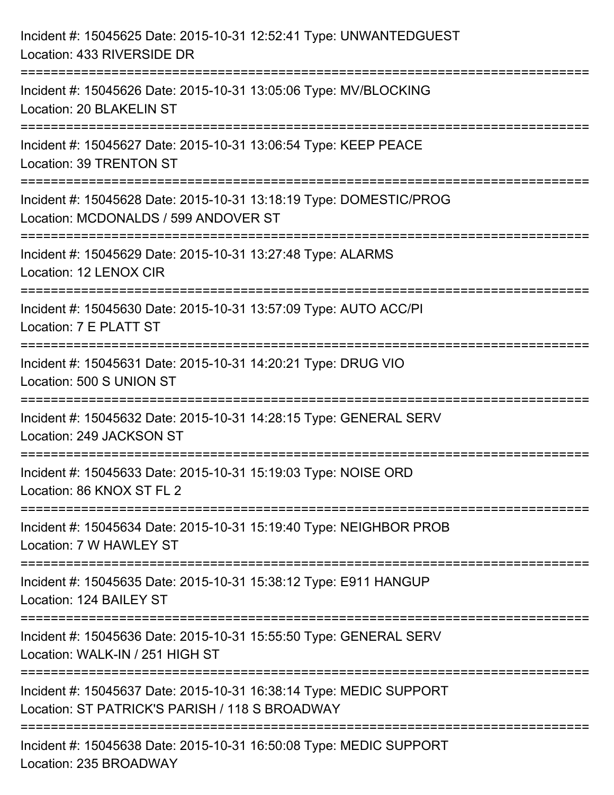| Incident #: 15045625 Date: 2015-10-31 12:52:41 Type: UNWANTEDGUEST<br>Location: 433 RIVERSIDE DR                                   |
|------------------------------------------------------------------------------------------------------------------------------------|
| :=====================<br>Incident #: 15045626 Date: 2015-10-31 13:05:06 Type: MV/BLOCKING<br>Location: 20 BLAKELIN ST             |
| Incident #: 15045627 Date: 2015-10-31 13:06:54 Type: KEEP PEACE<br>Location: 39 TRENTON ST<br>=============================        |
| Incident #: 15045628 Date: 2015-10-31 13:18:19 Type: DOMESTIC/PROG<br>Location: MCDONALDS / 599 ANDOVER ST                         |
| Incident #: 15045629 Date: 2015-10-31 13:27:48 Type: ALARMS<br>Location: 12 LENOX CIR<br>=================================         |
| Incident #: 15045630 Date: 2015-10-31 13:57:09 Type: AUTO ACC/PI<br>Location: 7 E PLATT ST                                         |
| Incident #: 15045631 Date: 2015-10-31 14:20:21 Type: DRUG VIO<br>Location: 500 S UNION ST<br>===================================== |
| Incident #: 15045632 Date: 2015-10-31 14:28:15 Type: GENERAL SERV<br>Location: 249 JACKSON ST                                      |
| Incident #: 15045633 Date: 2015-10-31 15:19:03 Type: NOISE ORD<br>Location: 86 KNOX ST FL 2                                        |
| Incident #: 15045634 Date: 2015-10-31 15:19:40 Type: NEIGHBOR PROB<br>Location: 7 W HAWLEY ST                                      |
| Incident #: 15045635 Date: 2015-10-31 15:38:12 Type: E911 HANGUP<br>Location: 124 BAILEY ST                                        |
| Incident #: 15045636 Date: 2015-10-31 15:55:50 Type: GENERAL SERV<br>Location: WALK-IN / 251 HIGH ST                               |
| Incident #: 15045637 Date: 2015-10-31 16:38:14 Type: MEDIC SUPPORT<br>Location: ST PATRICK'S PARISH / 118 S BROADWAY               |
| Incident #: 15045638 Date: 2015-10-31 16:50:08 Type: MEDIC SUPPORT<br>Location: 235 BROADWAY                                       |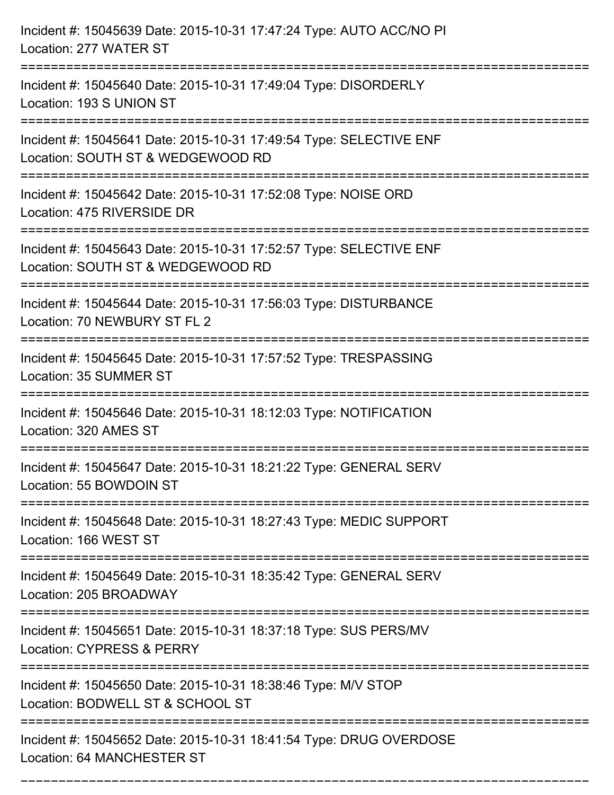| Incident #: 15045639 Date: 2015-10-31 17:47:24 Type: AUTO ACC/NO PI<br>Location: 277 WATER ST                                                 |
|-----------------------------------------------------------------------------------------------------------------------------------------------|
| Incident #: 15045640 Date: 2015-10-31 17:49:04 Type: DISORDERLY<br>Location: 193 S UNION ST                                                   |
| Incident #: 15045641 Date: 2015-10-31 17:49:54 Type: SELECTIVE ENF<br>Location: SOUTH ST & WEDGEWOOD RD                                       |
| Incident #: 15045642 Date: 2015-10-31 17:52:08 Type: NOISE ORD<br>Location: 475 RIVERSIDE DR                                                  |
| Incident #: 15045643 Date: 2015-10-31 17:52:57 Type: SELECTIVE ENF<br>Location: SOUTH ST & WEDGEWOOD RD<br>================================== |
| Incident #: 15045644 Date: 2015-10-31 17:56:03 Type: DISTURBANCE<br>Location: 70 NEWBURY ST FL 2                                              |
| Incident #: 15045645 Date: 2015-10-31 17:57:52 Type: TRESPASSING<br>Location: 35 SUMMER ST<br>:===============================                |
| Incident #: 15045646 Date: 2015-10-31 18:12:03 Type: NOTIFICATION<br>Location: 320 AMES ST                                                    |
| Incident #: 15045647 Date: 2015-10-31 18:21:22 Type: GENERAL SERV<br>Location: 55 BOWDOIN ST                                                  |
| =========================<br>Incident #: 15045648 Date: 2015-10-31 18:27:43 Type: MEDIC SUPPORT<br>Location: 166 WEST ST                      |
| Incident #: 15045649 Date: 2015-10-31 18:35:42 Type: GENERAL SERV<br>Location: 205 BROADWAY                                                   |
| Incident #: 15045651 Date: 2015-10-31 18:37:18 Type: SUS PERS/MV<br>Location: CYPRESS & PERRY                                                 |
| Incident #: 15045650 Date: 2015-10-31 18:38:46 Type: M/V STOP<br>Location: BODWELL ST & SCHOOL ST                                             |
| Incident #: 15045652 Date: 2015-10-31 18:41:54 Type: DRUG OVERDOSE<br>Location: 64 MANCHESTER ST                                              |

===========================================================================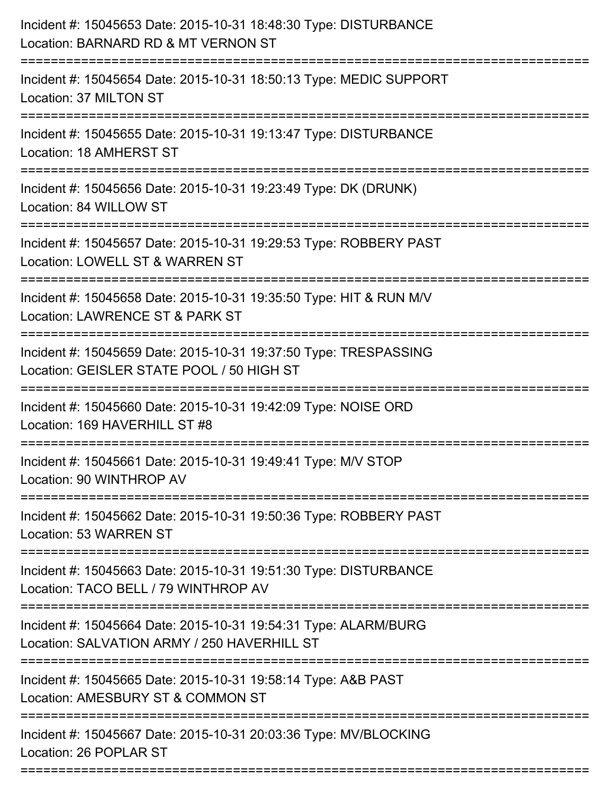| Incident #: 15045653 Date: 2015-10-31 18:48:30 Type: DISTURBANCE<br>Location: BARNARD RD & MT VERNON ST                            |
|------------------------------------------------------------------------------------------------------------------------------------|
| Incident #: 15045654 Date: 2015-10-31 18:50:13 Type: MEDIC SUPPORT<br>Location: 37 MILTON ST                                       |
| Incident #: 15045655 Date: 2015-10-31 19:13:47 Type: DISTURBANCE<br>Location: 18 AMHERST ST<br>.----------------------------       |
| Incident #: 15045656 Date: 2015-10-31 19:23:49 Type: DK (DRUNK)<br>Location: 84 WILLOW ST                                          |
| Incident #: 15045657 Date: 2015-10-31 19:29:53 Type: ROBBERY PAST<br>Location: LOWELL ST & WARREN ST                               |
| Incident #: 15045658 Date: 2015-10-31 19:35:50 Type: HIT & RUN M/V<br>Location: LAWRENCE ST & PARK ST                              |
| Incident #: 15045659 Date: 2015-10-31 19:37:50 Type: TRESPASSING<br>Location: GEISLER STATE POOL / 50 HIGH ST<br>================= |
| Incident #: 15045660 Date: 2015-10-31 19:42:09 Type: NOISE ORD<br>Location: 169 HAVERHILL ST #8                                    |
| Incident #: 15045661 Date: 2015-10-31 19:49:41 Type: M/V STOP<br>Location: 90 WINTHROP AV                                          |
| Incident #: 15045662 Date: 2015-10-31 19:50:36 Type: ROBBERY PAST<br>Location: 53 WARREN ST                                        |
| Incident #: 15045663 Date: 2015-10-31 19:51:30 Type: DISTURBANCE<br>Location: TACO BELL / 79 WINTHROP AV                           |
| Incident #: 15045664 Date: 2015-10-31 19:54:31 Type: ALARM/BURG<br>Location: SALVATION ARMY / 250 HAVERHILL ST                     |
| Incident #: 15045665 Date: 2015-10-31 19:58:14 Type: A&B PAST<br>Location: AMESBURY ST & COMMON ST                                 |
| Incident #: 15045667 Date: 2015-10-31 20:03:36 Type: MV/BLOCKING<br>Location: 26 POPLAR ST                                         |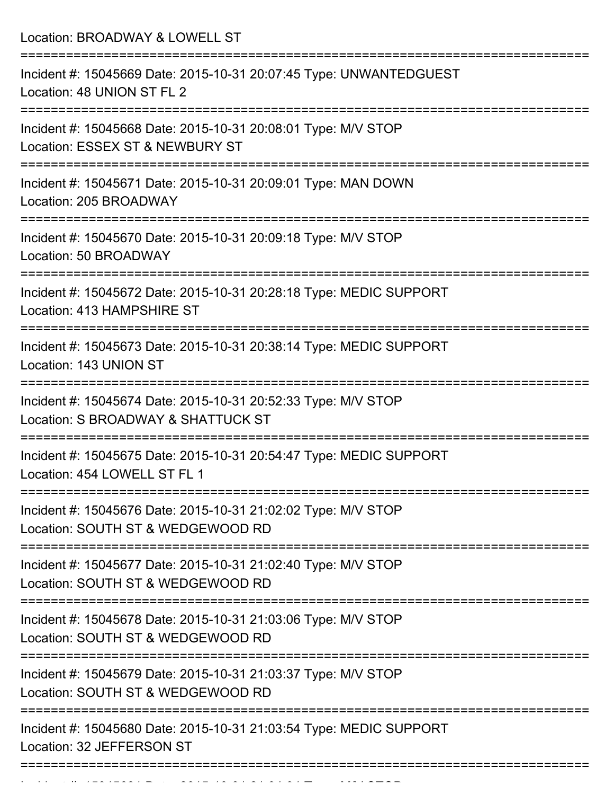Location: BROADWAY & LOWELL ST =========================================================================== Incident #: 15045669 Date: 2015-10-31 20:07:45 Type: UNWANTEDGUEST Location: 48 UNION ST FL 2 =========================================================================== Incident #: 15045668 Date: 2015-10-31 20:08:01 Type: M/V STOP Location: ESSEX ST & NEWBURY ST =========================================================================== Incident #: 15045671 Date: 2015-10-31 20:09:01 Type: MAN DOWN Location: 205 BROADWAY =========================================================================== Incident #: 15045670 Date: 2015-10-31 20:09:18 Type: M/V STOP Location: 50 BROADWAY =========================================================================== Incident #: 15045672 Date: 2015-10-31 20:28:18 Type: MEDIC SUPPORT Location: 413 HAMPSHIRE ST =========================================================================== Incident #: 15045673 Date: 2015-10-31 20:38:14 Type: MEDIC SUPPORT Location: 143 UNION ST =========================================================================== Incident #: 15045674 Date: 2015-10-31 20:52:33 Type: M/V STOP Location: S BROADWAY & SHATTUCK ST =========================================================================== Incident #: 15045675 Date: 2015-10-31 20:54:47 Type: MEDIC SUPPORT Location: 454 LOWELL ST FL 1 =========================================================================== Incident #: 15045676 Date: 2015-10-31 21:02:02 Type: M/V STOP Location: SOUTH ST & WEDGEWOOD RD =========================================================================== Incident #: 15045677 Date: 2015-10-31 21:02:40 Type: M/V STOP Location: SOUTH ST & WEDGEWOOD RD =========================================================================== Incident #: 15045678 Date: 2015-10-31 21:03:06 Type: M/V STOP Location: SOUTH ST & WEDGEWOOD RD =========================================================================== Incident #: 15045679 Date: 2015-10-31 21:03:37 Type: M/V STOP Location: SOUTH ST & WEDGEWOOD RD =========================================================================== Incident #: 15045680 Date: 2015-10-31 21:03:54 Type: MEDIC SUPPORT Location: 32 JEFFERSON ST ===========================================================================

Incident #: 15045681 Date: 2015 10 31 21:04:04 Type: M/V STOP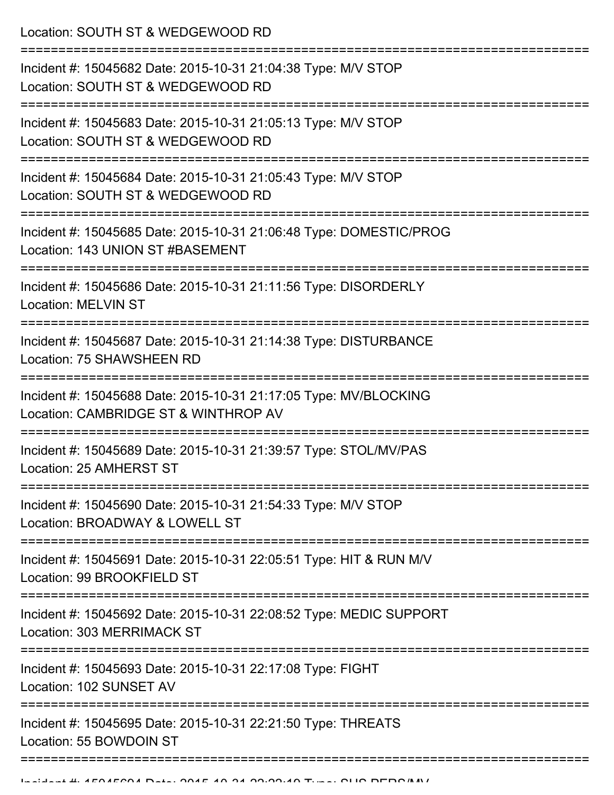Location: SOUTH ST & WEDGEWOOD RD

| Incident #: 15045682 Date: 2015-10-31 21:04:38 Type: M/V STOP<br>Location: SOUTH ST & WEDGEWOOD RD<br>:============     |
|-------------------------------------------------------------------------------------------------------------------------|
| Incident #: 15045683 Date: 2015-10-31 21:05:13 Type: M/V STOP<br>Location: SOUTH ST & WEDGEWOOD RD<br>----------------- |
| Incident #: 15045684 Date: 2015-10-31 21:05:43 Type: M/V STOP<br>Location: SOUTH ST & WEDGEWOOD RD                      |
| Incident #: 15045685 Date: 2015-10-31 21:06:48 Type: DOMESTIC/PROG<br>Location: 143 UNION ST #BASEMENT                  |
| Incident #: 15045686 Date: 2015-10-31 21:11:56 Type: DISORDERLY<br><b>Location: MELVIN ST</b>                           |
| Incident #: 15045687 Date: 2015-10-31 21:14:38 Type: DISTURBANCE<br>Location: 75 SHAWSHEEN RD                           |
| Incident #: 15045688 Date: 2015-10-31 21:17:05 Type: MV/BLOCKING<br>Location: CAMBRIDGE ST & WINTHROP AV                |
| Incident #: 15045689 Date: 2015-10-31 21:39:57 Type: STOL/MV/PAS<br>Location: 25 AMHERST ST                             |
| Incident #: 15045690 Date: 2015-10-31 21:54:33 Type: M/V STOP<br>Location: BROADWAY & LOWELL ST                         |
| Incident #: 15045691 Date: 2015-10-31 22:05:51 Type: HIT & RUN M/V<br>Location: 99 BROOKFIELD ST                        |
| Incident #: 15045692 Date: 2015-10-31 22:08:52 Type: MEDIC SUPPORT<br>Location: 303 MERRIMACK ST                        |
| Incident #: 15045693 Date: 2015-10-31 22:17:08 Type: FIGHT<br>Location: 102 SUNSET AV                                   |
| Incident #: 15045695 Date: 2015-10-31 22:21:50 Type: THREATS<br>Location: 55 BOWDOIN ST                                 |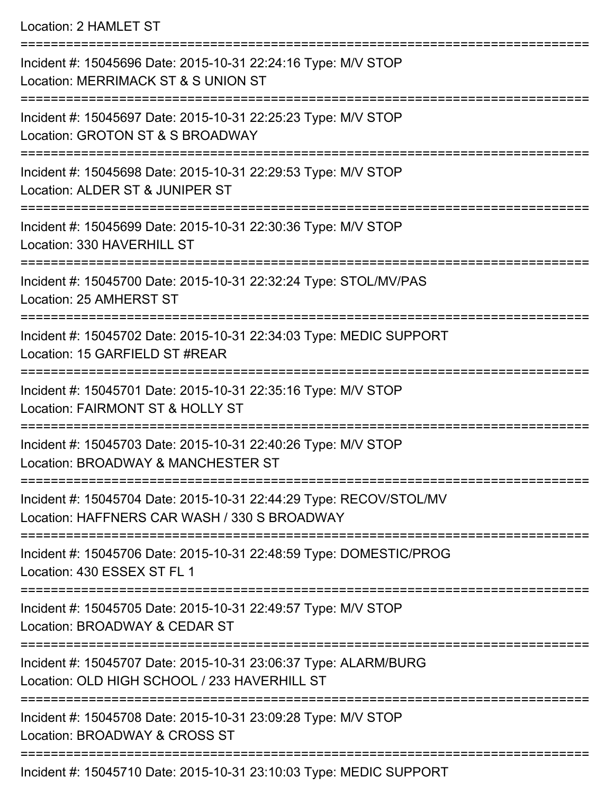## Location: 2 HAMLET ST

| Incident #: 15045696 Date: 2015-10-31 22:24:16 Type: M/V STOP<br>Location: MERRIMACK ST & S UNION ST               |
|--------------------------------------------------------------------------------------------------------------------|
| Incident #: 15045697 Date: 2015-10-31 22:25:23 Type: M/V STOP<br>Location: GROTON ST & S BROADWAY                  |
| Incident #: 15045698 Date: 2015-10-31 22:29:53 Type: M/V STOP<br>Location: ALDER ST & JUNIPER ST                   |
| Incident #: 15045699 Date: 2015-10-31 22:30:36 Type: M/V STOP<br>Location: 330 HAVERHILL ST                        |
| Incident #: 15045700 Date: 2015-10-31 22:32:24 Type: STOL/MV/PAS<br>Location: 25 AMHERST ST                        |
| Incident #: 15045702 Date: 2015-10-31 22:34:03 Type: MEDIC SUPPORT<br>Location: 15 GARFIELD ST #REAR               |
| Incident #: 15045701 Date: 2015-10-31 22:35:16 Type: M/V STOP<br>Location: FAIRMONT ST & HOLLY ST                  |
| Incident #: 15045703 Date: 2015-10-31 22:40:26 Type: M/V STOP<br>Location: BROADWAY & MANCHESTER ST                |
| Incident #: 15045704 Date: 2015-10-31 22:44:29 Type: RECOV/STOL/MV<br>Location: HAFFNERS CAR WASH / 330 S BROADWAY |
| Incident #: 15045706 Date: 2015-10-31 22:48:59 Type: DOMESTIC/PROG<br>Location: 430 ESSEX ST FL 1                  |
| Incident #: 15045705 Date: 2015-10-31 22:49:57 Type: M/V STOP<br>Location: BROADWAY & CEDAR ST                     |
| Incident #: 15045707 Date: 2015-10-31 23:06:37 Type: ALARM/BURG<br>Location: OLD HIGH SCHOOL / 233 HAVERHILL ST    |
| Incident #: 15045708 Date: 2015-10-31 23:09:28 Type: M/V STOP<br>Location: BROADWAY & CROSS ST                     |
|                                                                                                                    |

Incident #: 15045710 Date: 2015-10-31 23:10:03 Type: MEDIC SUPPORT